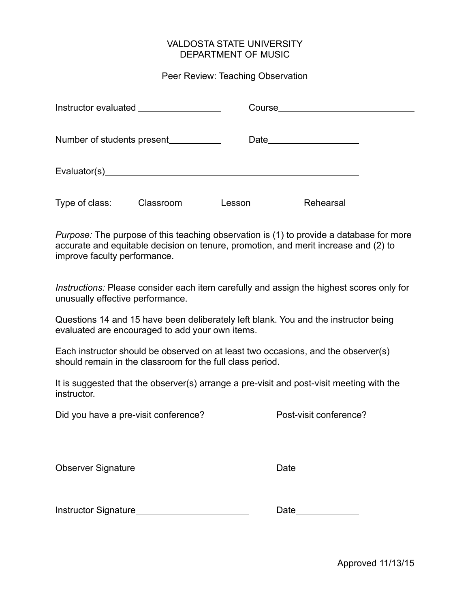## VALDOSTA STATE UNIVERSITY DEPARTMENT OF MUSIC

## Peer Review: Teaching Observation

| Instructor evaluated __________________        |           |
|------------------------------------------------|-----------|
|                                                |           |
|                                                |           |
| Type of class: ______Classroom _________Lesson | Rehearsal |

*Purpose:* The purpose of this teaching observation is (1) to provide a database for more accurate and equitable decision on tenure, promotion, and merit increase and (2) to improve faculty performance.

*Instructions:* Please consider each item carefully and assign the highest scores only for unusually effective performance.

Questions 14 and 15 have been deliberately left blank. You and the instructor being evaluated are encouraged to add your own items.

Each instructor should be observed on at least two occasions, and the observer(s) should remain in the classroom for the full class period.

It is suggested that the observer(s) arrange a pre-visit and post-visit meeting with the instructor.

Did you have a pre-visit conference? Post-visit conference?

Observer Signature et al. 2006 and 2007 and 2008 and 2008 and 2008 and 2008 and 2008 and 2008 and 2008 and 200

Instructor Signature Date

Approved 11/13/15